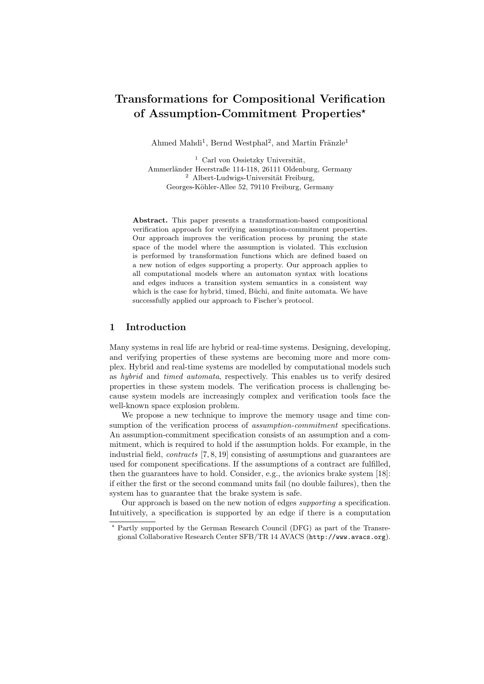# Transformations for Compositional Verification of Assumption-Commitment Properties\*

Ahmed Mahdi<sup>1</sup>, Bernd Westphal<sup>2</sup>, and Martin Fränzle<sup>1</sup>

 $1$  Carl von Ossietzky Universität, Ammerländer Heerstraße 114-118, 26111 Oldenburg, Germany Albert-Ludwigs-Universität Freiburg, Georges-Köhler-Allee 52, 79110 Freiburg, Germany

Abstract. This paper presents a transformation-based compositional verification approach for verifying assumption-commitment properties. Our approach improves the verification process by pruning the state space of the model where the assumption is violated. This exclusion is performed by transformation functions which are defined based on a new notion of edges supporting a property. Our approach applies to all computational models where an automaton syntax with locations and edges induces a transition system semantics in a consistent way which is the case for hybrid, timed, Büchi, and finite automata. We have successfully applied our approach to Fischer's protocol.

#### 1 Introduction

Many systems in real life are hybrid or real-time systems. Designing, developing, and verifying properties of these systems are becoming more and more complex. Hybrid and real-time systems are modelled by computational models such as hybrid and timed automata, respectively. This enables us to verify desired properties in these system models. The verification process is challenging because system models are increasingly complex and verification tools face the well-known space explosion problem.

We propose a new technique to improve the memory usage and time consumption of the verification process of *assumption-commitment* specifications. An assumption-commitment specification consists of an assumption and a commitment, which is required to hold if the assumption holds. For example, in the industrial field, contracts [7, 8, 19] consisting of assumptions and guarantees are used for component specifications. If the assumptions of a contract are fulfilled, then the guarantees have to hold. Consider, e.g., the avionics brake system [18]: if either the first or the second command units fail (no double failures), then the system has to guarantee that the brake system is safe.

Our approach is based on the new notion of edges supporting a specification. Intuitively, a specification is supported by an edge if there is a computation

<sup>?</sup> Partly supported by the German Research Council (DFG) as part of the Transregional Collaborative Research Center SFB/TR 14 AVACS (http://www.avacs.org).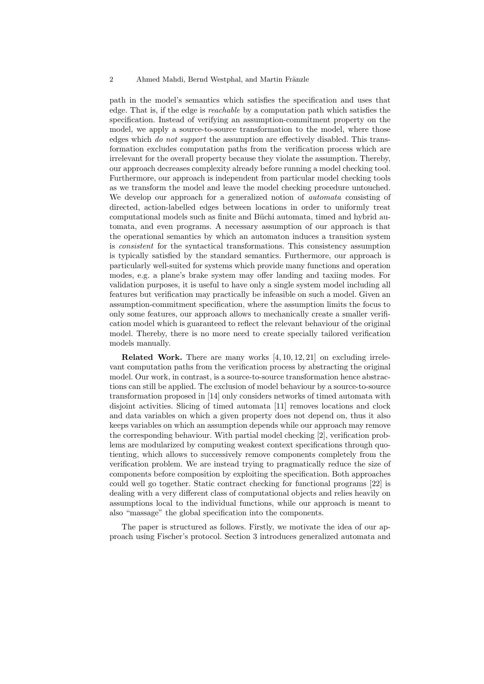#### 2 Ahmed Mahdi, Bernd Westphal, and Martin Fränzle

path in the model's semantics which satisfies the specification and uses that edge. That is, if the edge is reachable by a computation path which satisfies the specification. Instead of verifying an assumption-commitment property on the model, we apply a source-to-source transformation to the model, where those edges which do not support the assumption are effectively disabled. This transformation excludes computation paths from the verification process which are irrelevant for the overall property because they violate the assumption. Thereby, our approach decreases complexity already before running a model checking tool. Furthermore, our approach is independent from particular model checking tools as we transform the model and leave the model checking procedure untouched. We develop our approach for a generalized notion of *automata* consisting of directed, action-labelled edges between locations in order to uniformly treat computational models such as finite and Büchi automata, timed and hybrid automata, and even programs. A necessary assumption of our approach is that the operational semantics by which an automaton induces a transition system is consistent for the syntactical transformations. This consistency assumption is typically satisfied by the standard semantics. Furthermore, our approach is particularly well-suited for systems which provide many functions and operation modes, e.g. a plane's brake system may offer landing and taxiing modes. For validation purposes, it is useful to have only a single system model including all features but verification may practically be infeasible on such a model. Given an assumption-commitment specification, where the assumption limits the focus to only some features, our approach allows to mechanically create a smaller verification model which is guaranteed to reflect the relevant behaviour of the original model. Thereby, there is no more need to create specially tailored verification models manually.

**Related Work.** There are many works  $[4, 10, 12, 21]$  on excluding irrelevant computation paths from the verification process by abstracting the original model. Our work, in contrast, is a source-to-source transformation hence abstractions can still be applied. The exclusion of model behaviour by a source-to-source transformation proposed in [14] only considers networks of timed automata with disjoint activities. Slicing of timed automata [11] removes locations and clock and data variables on which a given property does not depend on, thus it also keeps variables on which an assumption depends while our approach may remove the corresponding behaviour. With partial model checking [2], verification problems are modularized by computing weakest context specifications through quotienting, which allows to successively remove components completely from the verification problem. We are instead trying to pragmatically reduce the size of components before composition by exploiting the specification. Both approaches could well go together. Static contract checking for functional programs [22] is dealing with a very different class of computational objects and relies heavily on assumptions local to the individual functions, while our approach is meant to also "massage" the global specification into the components.

The paper is structured as follows. Firstly, we motivate the idea of our approach using Fischer's protocol. Section 3 introduces generalized automata and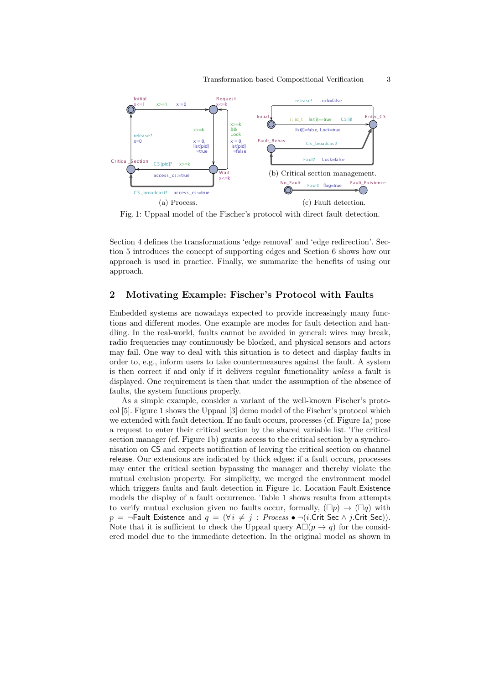

Fig. 1: Uppaal model of the Fischer's protocol with direct fault detection.

Section 4 defines the transformations 'edge removal' and 'edge redirection'. Section 5 introduces the concept of supporting edges and Section 6 shows how our approach is used in practice. Finally, we summarize the benefits of using our approach.

## 2 Motivating Example: Fischer's Protocol with Faults

Embedded systems are nowadays expected to provide increasingly many functions and different modes. One example are modes for fault detection and handling. In the real-world, faults cannot be avoided in general: wires may break, radio frequencies may continuously be blocked, and physical sensors and actors may fail. One way to deal with this situation is to detect and display faults in order to, e.g., inform users to take countermeasures against the fault. A system is then correct if and only if it delivers regular functionality unless a fault is displayed. One requirement is then that under the assumption of the absence of faults, the system functions properly.

As a simple example, consider a variant of the well-known Fischer's protocol [5]. Figure 1 shows the Uppaal [3] demo model of the Fischer's protocol which we extended with fault detection. If no fault occurs, processes (cf. Figure 1a) pose a request to enter their critical section by the shared variable list. The critical section manager (cf. Figure 1b) grants access to the critical section by a synchronisation on CS and expects notification of leaving the critical section on channel release. Our extensions are indicated by thick edges: if a fault occurs, processes may enter the critical section bypassing the manager and thereby violate the mutual exclusion property. For simplicity, we merged the environment model which triggers faults and fault detection in Figure 1c. Location Fault Existence models the display of a fault occurrence. Table 1 shows results from attempts to verify mutual exclusion given no faults occur, formally,  $(\Box p) \rightarrow (\Box q)$  with  $p = \neg \text{Fault}$  Existence and  $q = (\forall i \neq j : Process \bullet \neg (i\text{.Crit} \text{. Sec } \land j\text{. Crit} \text{. Sec})).$ Note that it is sufficient to check the Uppaal query  $A\Box(p \to q)$  for the considered model due to the immediate detection. In the original model as shown in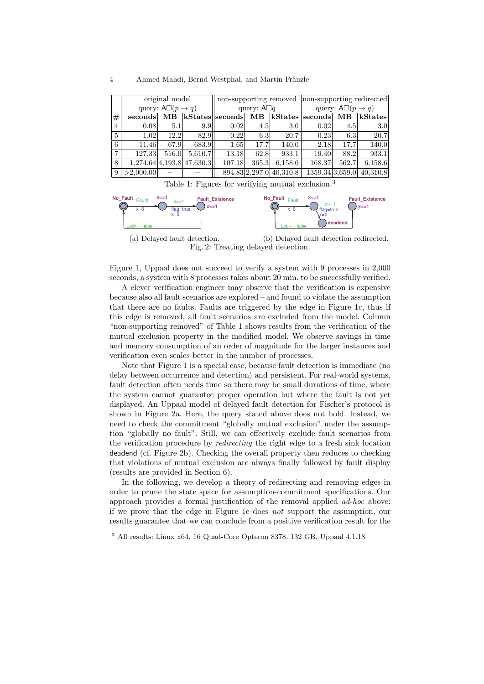|                | original model                    |       |                           |                                                          |       |                           | non-supporting removed   non-supporting redirected |       |                  |
|----------------|-----------------------------------|-------|---------------------------|----------------------------------------------------------|-------|---------------------------|----------------------------------------------------|-------|------------------|
|                | query: $A\square(p\rightarrow q)$ |       |                           | query: $A\square q$                                      |       |                           | query: $A\Box(p \rightarrow q)$                    |       |                  |
| #              |                                   |       |                           | seconds MB kStates seconds MB kStates seconds MB kStates |       |                           |                                                    |       |                  |
| 4              | 0.08                              | 5.1   | 9.9 <sub>1</sub>          | 0.02                                                     | 4.5   | 3.0 <sub>1</sub>          | 0.02 <sub>l</sub>                                  | 4.5   | 3.0 <sub>l</sub> |
| 5              | 1.02                              | 12.2  | 82.9                      | 0.22                                                     | 6.3   | 20.7                      | 0.23                                               | 6.3   | 20.7             |
| 6              | 11.46                             | 67.9  | 683.9                     | 1.65                                                     | 17.7  | 140.0                     | 2.18                                               | 17.7  | 140.0            |
| $\overline{7}$ | 127.33                            | 516.0 | 5.610.7                   | 13.18                                                    | 62.8  | 933.1                     | 19.40                                              | 88.2  | 933.1            |
| 8              |                                   |       | 1,274.64 4,193.8 47,630.3 | 107.18                                                   | 365.3 | 6.158.6                   | 168.37                                             | 562.7 | 6,158.6          |
| 9              | > 2,000.00                        |       |                           |                                                          |       | 894.83 2, 297.0 40, 310.8 | 1359.34 3.659.0                                    |       | 40,310.8         |

Table 1: Figures for verifying mutual exclusion.<sup>3</sup>



(a) Delayed fault detection. (b) Delayed fault detection redirected. Fig. 2: Treating delayed detection.

Figure 1, Uppaal does not succeed to verify a system with 9 processes in 2,000 seconds, a system with 8 processes takes about 20 min. to be successfully verified.

A clever verification engineer may observe that the verification is expensive because also all fault scenarios are explored – and found to violate the assumption that there are no faults. Faults are triggered by the edge in Figure 1c, thus if this edge is removed, all fault scenarios are excluded from the model. Column "non-supporting removed" of Table 1 shows results from the verification of the mutual exclusion property in the modified model. We observe savings in time and memory consumption of an order of magnitude for the larger instances and verification even scales better in the number of processes.

Note that Figure 1 is a special case, because fault detection is immediate (no delay between occurrence and detection) and persistent. For real-world systems, fault detection often needs time so there may be small durations of time, where the system cannot guarantee proper operation but where the fault is not yet displayed. An Uppaal model of delayed fault detection for Fischer's protocol is shown in Figure 2a. Here, the query stated above does not hold. Instead, we need to check the commitment "globally mutual exclusion" under the assumption "globally no fault". Still, we can effectively exclude fault scenarios from the verification procedure by redirecting the right edge to a fresh sink location deadend (cf. Figure 2b). Checking the overall property then reduces to checking that violations of mutual exclusion are always finally followed by fault display (results are provided in Section 6).

In the following, we develop a theory of redirecting and removing edges in order to prune the state space for assumption-commitment specifications. Our approach provides a formal justification of the removal applied ad-hoc above: if we prove that the edge in Figure 1c does not support the assumption, our results guarantee that we can conclude from a positive verification result for the

 $^3$  All results: Linux x64, 16 Quad-Core Opteron 8378, 132 GB, Uppaal  $4.1.18$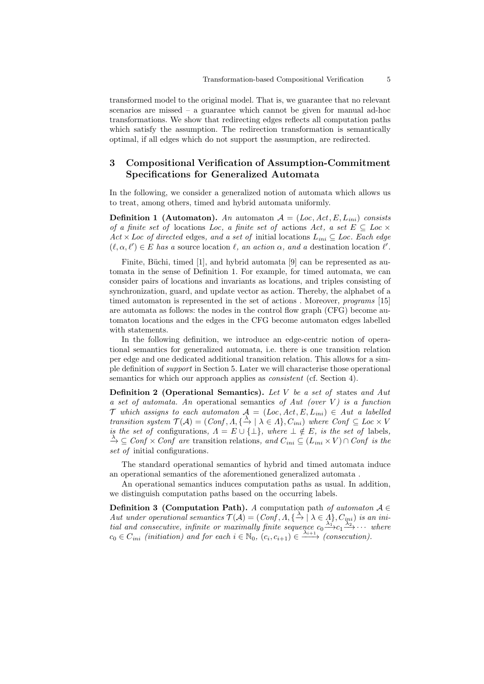transformed model to the original model. That is, we guarantee that no relevant scenarios are missed – a guarantee which cannot be given for manual ad-hoc transformations. We show that redirecting edges reflects all computation paths which satisfy the assumption. The redirection transformation is semantically optimal, if all edges which do not support the assumption, are redirected.

# 3 Compositional Verification of Assumption-Commitment Specifications for Generalized Automata

In the following, we consider a generalized notion of automata which allows us to treat, among others, timed and hybrid automata uniformly.

**Definition 1 (Automaton).** An automaton  $A = (Loc, Act, E, L_{ini})$  consists of a finite set of locations Loc, a finite set of actions Act, a set  $E \subseteq Loc \times$  $Act \times Loc$  of directed edges, and a set of initial locations  $L_{ini} \subseteq Loc$ . Each edge  $(\ell, \alpha, \ell') \in E$  has a source location  $\ell$ , an action  $\alpha$ , and a destination location  $\ell'$ .

Finite, Büchi, timed [1], and hybrid automata [9] can be represented as automata in the sense of Definition 1. For example, for timed automata, we can consider pairs of locations and invariants as locations, and triples consisting of synchronization, guard, and update vector as action. Thereby, the alphabet of a timed automaton is represented in the set of actions. Moreover, *programs* [15] are automata as follows: the nodes in the control flow graph (CFG) become automaton locations and the edges in the CFG become automaton edges labelled with statements.

In the following definition, we introduce an edge-centric notion of operational semantics for generalized automata, i.e. there is one transition relation per edge and one dedicated additional transition relation. This allows for a simple definition of support in Section 5. Later we will characterise those operational semantics for which our approach applies as *consistent* (cf. Section 4).

**Definition 2 (Operational Semantics).** Let  $V$  be a set of states and Aut a set of automata. An operational semantics of Aut (over  $V$ ) is a function  $\mathcal T$  which assigns to each automaton  $\mathcal A = (Loc, Act, E, L_{ini}) \in Aut$  a labelled transition system  $\mathcal{T}(\mathcal{A}) = (Conf, A, \{\stackrel{\lambda}{\to} \mid \lambda \in \Lambda\}, C_{ini})$  where  $Conf \subseteq Loc \times V$ is the set of configurations,  $\Lambda = E \cup \{\perp\}$ , where  $\perp \notin E$ , is the set of labels,  $\stackrel{\lambda}{\rightarrow} \subseteq Conf \times Conf$  are transition relations, and  $C_{ini} \subseteq (L_{ini} \times V) \cap Conf$  is the set of initial configurations.

The standard operational semantics of hybrid and timed automata induce an operational semantics of the aforementioned generalized automata .

An operational semantics induces computation paths as usual. In addition, we distinguish computation paths based on the occurring labels.

Definition 3 (Computation Path). A computation path of automaton  $A \in$ Aut under operational semantics  $\mathcal{T}(\mathcal{A}) = (Conf, A, \{\stackrel{\lambda}{\to} | \lambda \in \mathcal{A}\}, C_{ini})$  is an initial and consecutive, infinite or maximally finite sequence  $c_0 \stackrel{\lambda_1}{\longrightarrow} c_1 \stackrel{\chi_2}{\longrightarrow} \cdots$  where  $c_0 \in C_{ini}$  (initiation) and for each  $i \in \mathbb{N}_0$ ,  $(c_i, c_{i+1}) \in \frac{\lambda_{i+1}}{\lambda_i}$  (consecution).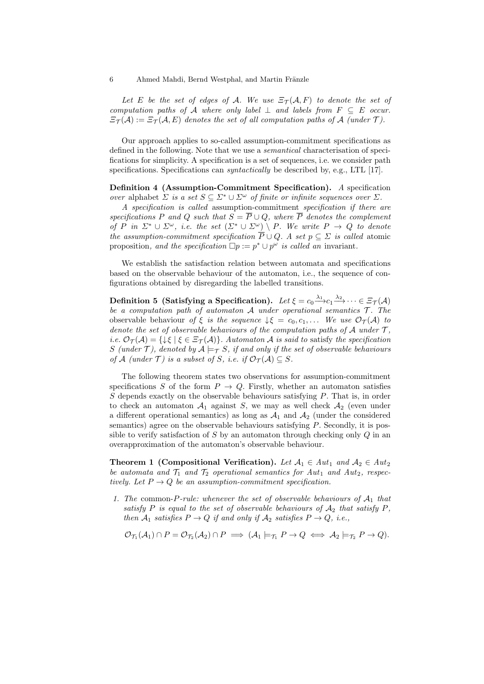Let E be the set of edges of A. We use  $\Xi_{\mathcal{T}}(\mathcal{A}, F)$  to denote the set of computation paths of A where only label  $\perp$  and labels from  $F \subseteq E$  occur.  $\Xi_{\mathcal{T}}(\mathcal{A}) := \Xi_{\mathcal{T}}(\mathcal{A}, E)$  denotes the set of all computation paths of A (under  $\mathcal{T}$ ).

Our approach applies to so-called assumption-commitment specifications as defined in the following. Note that we use a *semantical* characterisation of specifications for simplicity. A specification is a set of sequences, i.e. we consider path specifications. Specifications can *syntactically* be described by, e.g., LTL [17].

Definition 4 (Assumption-Commitment Specification). A specification over alphabet  $\Sigma$  is a set  $S \subseteq \Sigma^* \cup \Sigma^{\omega}$  of finite or infinite sequences over  $\Sigma$ .

A specification is called assumption-commitment specification if there are specifications P and Q such that  $S = \overline{P} \cup Q$ , where  $\overline{P}$  denotes the complement of P in  $\Sigma^* \cup \Sigma^{\omega}$ , i.e. the set  $(\Sigma^* \cup \Sigma^{\omega}) \setminus P$ . We write  $P \to Q$  to denote the assumption-commitment specification  $\overline{P} \cup Q$ . A set  $p \subseteq \Sigma$  is called atomic proposition, and the specification  $\Box p := p^* \cup p^{\omega}$  is called an invariant.

We establish the satisfaction relation between automata and specifications based on the observable behaviour of the automaton, i.e., the sequence of configurations obtained by disregarding the labelled transitions.

 $\textbf{Definition 5 (Satisfying a Specification). \ \ } Let \ \xi = c_0\frac{\lambda_1}{\longrightarrow}c_1\frac{\lambda_2}{\longrightarrow}\cdots \in \varXi_{\mathcal{T}}(\mathcal{A})$ be a computation path of automaton  $A$  under operational semantics  $T$ . The observable behaviour of  $\xi$  is the sequence  $\downarrow \xi = c_0, c_1, \ldots$  We use  $\mathcal{O}_{\mathcal{T}}(\mathcal{A})$  to denote the set of observable behaviours of the computation paths of  $\mathcal A$  under  $\mathcal T$ , i.e.  $\mathcal{O}_{\mathcal{T}}(\mathcal{A}) = \{ \downarrow \xi \mid \xi \in \Xi_{\mathcal{T}}(\mathcal{A}) \}.$  Automaton A is said to satisfy the specification S (under T), denoted by  $A \models_{\mathcal{T}} S$ , if and only if the set of observable behaviours of A (under T) is a subset of S, i.e. if  $\mathcal{O}_{\mathcal{T}}(\mathcal{A}) \subseteq S$ .

The following theorem states two observations for assumption-commitment specifications S of the form  $P \to Q$ . Firstly, whether an automaton satisfies S depends exactly on the observable behaviours satisfying  $P$ . That is, in order to check an automaton  $A_1$  against S, we may as well check  $A_2$  (even under a different operational semantics) as long as  $A_1$  and  $A_2$  (under the considered semantics) agree on the observable behaviours satisfying P. Secondly, it is possible to verify satisfaction of S by an automaton through checking only  $Q$  in an overapproximation of the automaton's observable behaviour.

Theorem 1 (Compositional Verification). Let  $A_1 \in Aut_1$  and  $A_2 \in Aut_2$ be automata and  $\mathcal{T}_1$  and  $\mathcal{T}_2$  operational semantics for Aut<sub>1</sub> and Aut<sub>2</sub>, respectively. Let  $P \to Q$  be an assumption-commitment specification.

1. The common-P-rule: whenever the set of observable behaviours of  $A_1$  that satisfy  $P$  is equal to the set of observable behaviours of  $A_2$  that satisfy  $P$ , then  $A_1$  satisfies  $P \to Q$  if and only if  $A_2$  satisfies  $P \to Q$ , i.e.,

$$
\mathcal{O}_{\mathcal{T}_1}(\mathcal{A}_1) \cap P = \mathcal{O}_{\mathcal{T}_2}(\mathcal{A}_2) \cap P \implies (\mathcal{A}_1 \models_{\mathcal{T}_1} P \to Q \iff \mathcal{A}_2 \models_{\mathcal{T}_2} P \to Q).
$$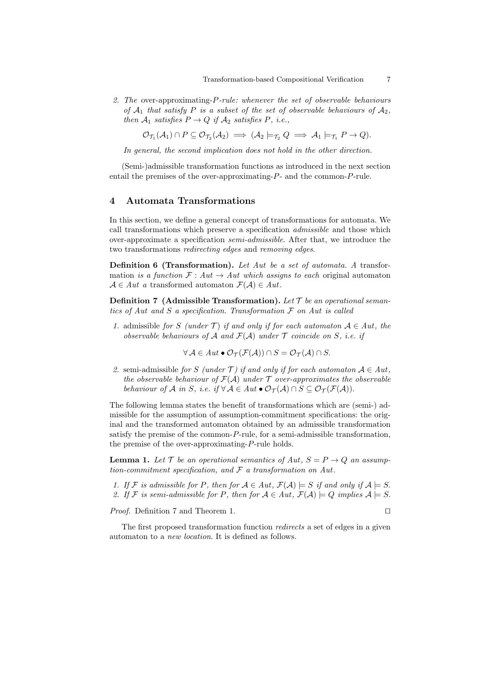2. The over-approximating- $P$ -rule: whenever the set of observable behaviours of  $A_1$  that satisfy P is a subset of the set of observable behaviours of  $A_2$ , then  $A_1$  satisfies  $P \rightarrow Q$  if  $A_2$  satisfies  $P$ , i.e.,

$$
\mathcal{O}_{\mathcal{T}_1}(\mathcal{A}_1) \cap P \subseteq \mathcal{O}_{\mathcal{T}_2}(\mathcal{A}_2) \implies (\mathcal{A}_2 \models_{\mathcal{T}_2} Q \implies \mathcal{A}_1 \models_{\mathcal{T}_1} P \to Q).
$$

In general, the second implication does not hold in the other direction.

(Semi-)admissible transformation functions as introduced in the next section entail the premises of the over-approximating-P- and the common-P-rule.

#### 4 Automata Transformations

In this section, we define a general concept of transformations for automata. We call transformations which preserve a specification admissible and those which over-approximate a specification semi-admissible. After that, we introduce the two transformations redirecting edges and removing edges.

Definition 6 (Transformation). Let Aut be a set of automata. A transformation is a function  $\mathcal{F}: Aut \to Aut$  which assigns to each original automaton  $A \in Aut$  a transformed automaton  $\mathcal{F}(A) \in Aut$ .

**Definition 7** (Admissible Transformation). Let  $\mathcal T$  be an operational semantics of Aut and S a specification. Transformation  $\mathcal F$  on Aut is called

1. admissible for S (under T) if and only if for each automaton  $A \in Aut$ , the observable behaviours of A and  $\mathcal{F}(\mathcal{A})$  under  $\mathcal T$  coincide on S, i.e. if

$$
\forall \mathcal{A} \in Aut \bullet \mathcal{O}_{\mathcal{T}}(\mathcal{F}(\mathcal{A})) \cap S = \mathcal{O}_{\mathcal{T}}(\mathcal{A}) \cap S.
$$

2. semi-admissible for S (under T) if and only if for each automaton  $A \in Aut$ . the observable behaviour of  $\mathcal{F}(\mathcal{A})$  under  $\mathcal T$  over-approximates the observable behaviour of A in S, i.e. if  $\forall A \in Aut \bullet \mathcal{O}_{\mathcal{T}}(\mathcal{A}) \cap S \subseteq \mathcal{O}_{\mathcal{T}}(\mathcal{F}(\mathcal{A})).$ 

The following lemma states the benefit of transformations which are (semi-) admissible for the assumption of assumption-commitment specifications: the original and the transformed automaton obtained by an admissible transformation satisfy the premise of the common-P-rule, for a semi-admissible transformation, the premise of the over-approximating-P-rule holds.

**Lemma 1.** Let  $\mathcal{T}$  be an operational semantics of Aut,  $S = P \rightarrow Q$  an assumption-commitment specification, and  $\mathcal F$  a transformation on Aut.

1. If F is admissible for P, then for  $A \in Aut$ ,  $\mathcal{F}(A) \models S$  if and only if  $A \models S$ . 2. If F is semi-admissible for P, then for  $A \in Aut$ ,  $\mathcal{F}(A) \models Q$  implies  $A \models S$ .

*Proof.* Definition 7 and Theorem 1.  $\Box$ 

The first proposed transformation function redirects a set of edges in a given automaton to a new location. It is defined as follows.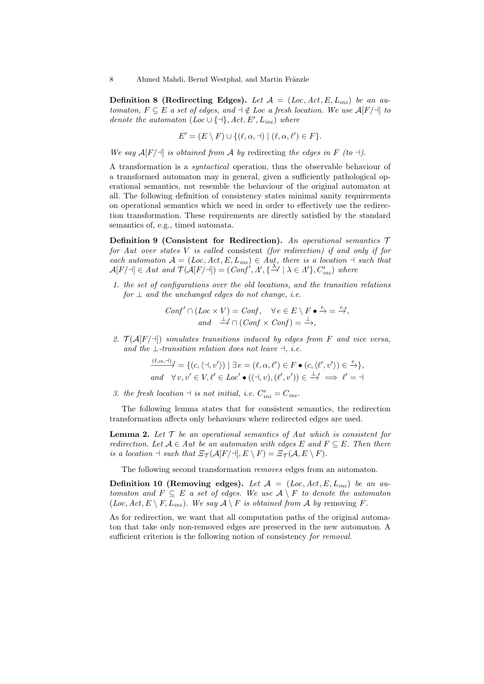Definition 8 (Redirecting Edges). Let  $\mathcal{A} = (Loc, Act, E, L_{ini})$  be an automaton,  $F \subseteq E$  a set of edges, and  $\neg \notin Loc$  a fresh location. We use  $\mathcal{A}[F/\neg]$  to denote the automaton (Loc  $\cup$  {<sup>-1</sup>}, Act, E', L<sub>ini</sub>) where

$$
E' = (E \setminus F) \cup \{ (\ell, \alpha, \dashv) \mid (\ell, \alpha, \ell') \in F \}.
$$

We say  $\mathcal{A}[F/\neg]$  is obtained from A by redirecting the edges in F (to  $\neg$ ).

A transformation is a syntactical operation, thus the observable behaviour of a transformed automaton may in general, given a sufficiently pathological operational semantics, not resemble the behaviour of the original automaton at all. The following definition of consistency states minimal sanity requirements on operational semantics which we need in order to effectively use the redirection transformation. These requirements are directly satisfied by the standard semantics of, e.g., timed automata.

**Definition 9 (Consistent for Redirection).** An operational semantics  $\mathcal{T}$ for Aut over states V is called consistent (for redirection) if and only if for each automaton  $A = (Loc, Act, E, L_{ini}) \in Aut$ , there is a location  $\vdash such$  that  $\mathcal{A}[F/\exists] \in Aut$  and  $\mathcal{T}(\mathcal{A}[F/\exists]) = (Conf', \Lambda', \{\stackrel{\lambda'}{\to} \mid \lambda \in \Lambda'\}, C'_{ini})$  where

1. the set of configurations over the old locations, and the transition relations for  $\perp$  and the unchanged edges do not change, i.e.

$$
Conf' \cap (Loc \times V) = Conf, \quad \forall e \in E \setminus F \bullet \xrightarrow{e} = \xrightarrow{e} ,
$$
  
and  $\xrightarrow{\perp} \cap (Conf \times Conf) = \xrightarrow{\perp},$ 

2.  $\mathcal{T}(\mathcal{A}[F/\neg])$  simulates transitions induced by edges from F and vice versa, and the  $\bot$ -transition relation does not leave  $\dashv$ , i.e.

$$
\xrightarrow{(\ell,\alpha,\dashv)} \{ (c,\langle \dashv,v' \rangle) \mid \exists e = (\ell,\alpha,\ell') \in F \bullet (c,\langle \ell',v' \rangle) \in \xrightarrow{e} \},\
$$
  
and  $\forall v,v' \in V, \ell' \in Loc' \bullet ((\dashv,v),(\ell',v')) \in \xrightarrow{\perp} \implies \ell' = \dashv$ 

3. the fresh location  $\exists$  is not initial, i.e.  $C'_{ini} = C_{ini}$ .

The following lemma states that for consistent semantics, the redirection transformation affects only behaviours where redirected edges are used.

**Lemma 2.** Let  $\mathcal{T}$  be an operational semantics of Aut which is consistent for redirection. Let  $A \in Aut$  be an automaton with edges E and  $F \subseteq E$ . Then there is a location  $\exists$  such that  $\Xi_{\mathcal{T}}(\mathcal{A}[F/\exists], E \setminus F) = \Xi_{\mathcal{T}}(\mathcal{A}, E \setminus F)$ .

The following second transformation removes edges from an automaton.

Definition 10 (Removing edges). Let  $A = (Loc, Act, E, L_{ini})$  be an automaton and  $F \subseteq E$  a set of edges. We use  $A \setminus F$  to denote the automaton  $(Loc, Act, E \setminus F, L_{ini})$ . We say  $\mathcal{A} \setminus F$  is obtained from  $\mathcal{A}$  by removing F.

As for redirection, we want that all computation paths of the original automaton that take only non-removed edges are preserved in the new automaton. A sufficient criterion is the following notion of consistency for removal.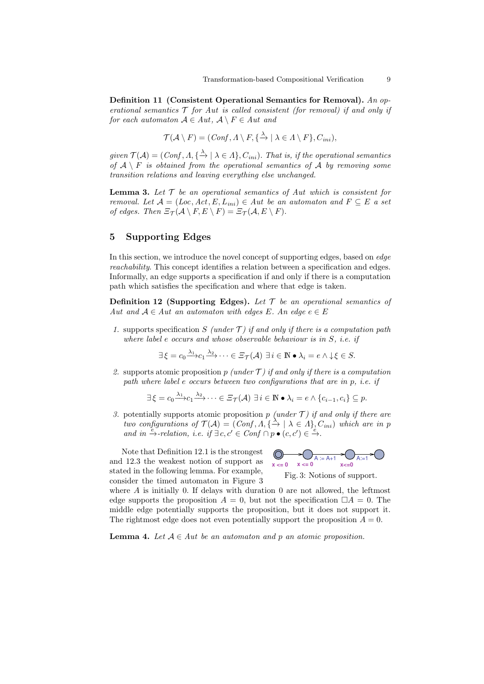Definition 11 (Consistent Operational Semantics for Removal). An operational semantics  $\mathcal T$  for Aut is called consistent (for removal) if and only if for each automaton  $A \in Aut$ ,  $A \setminus F \in Aut$  and

$$
\mathcal{T}(\mathcal{A}\setminus F)=(\mathit{Conf},\Lambda\setminus F,\{\stackrel{\lambda}{\to}|\lambda\in\Lambda\setminus F\},C_{ini}),
$$

given  $\mathcal{T}(\mathcal{A}) = (Conf, A, \{\stackrel{\lambda}{\to} \mid \lambda \in A\}, C_{ini})$ . That is, if the operational semantics of  $A \setminus F$  is obtained from the operational semantics of A by removing some transition relations and leaving everything else unchanged.

**Lemma 3.** Let  $T$  be an operational semantics of Aut which is consistent for removal. Let  $\mathcal{A} = (Loc, Act, E, L_{ini}) \in Aut$  be an automaton and  $F \subseteq E$  a set of edges. Then  $\Xi_{\mathcal{T}}(\mathcal{A}\setminus F, E\setminus F) = \Xi_{\mathcal{T}}(\mathcal{A}, E\setminus F)$ .

## 5 Supporting Edges

In this section, we introduce the novel concept of supporting edges, based on *edge* reachability. This concept identifies a relation between a specification and edges. Informally, an edge supports a specification if and only if there is a computation path which satisfies the specification and where that edge is taken.

**Definition 12 (Supporting Edges).** Let  $\mathcal{T}$  be an operational semantics of Aut and  $A \in Aut$  an automaton with edges E. An edge  $e \in E$ 

1. supports specification S (under  $\mathcal T$ ) if and only if there is a computation path where label e occurs and whose observable behaviour is in S, i.e. if

$$
\exists \xi = c_0 \xrightarrow{\lambda_1} c_1 \xrightarrow{\lambda_2} \cdots \in \Xi_{\mathcal{T}}(\mathcal{A}) \exists i \in \mathbb{N} \bullet \lambda_i = e \land \downarrow \xi \in S.
$$

2. supports atomic proposition p (under  $\mathcal T$ ) if and only if there is a computation path where label e occurs between two configurations that are in p, i.e. if

$$
\exists \xi = c_0 \xrightarrow{\lambda_1} c_1 \xrightarrow{\lambda_2} \cdots \in \Xi_{\mathcal{T}}(\mathcal{A}) \exists i \in \mathbb{N} \bullet \lambda_i = e \wedge \{c_{i-1}, c_i\} \subseteq p.
$$

3. potentially supports atomic proposition p (under  $\mathcal T$ ) if and only if there are two configurations of  $\mathcal{T}(\mathcal{A}) = (Conf, A, \{ \stackrel{\lambda}{\to} | \lambda \in A \}, C_{ini})$  which are in p and in  $\stackrel{e}{\rightarrow}$ -relation, i.e. if  $\exists c, c' \in Conf \cap p \bullet (c, c') \in \stackrel{e}{\rightarrow}$ .

Note that Definition 12.1 is the strongest and 12.3 the weakest notion of support as stated in the following lemma. For example, consider the timed automaton in Figure 3



Fig. 3: Notions of support.

where  $A$  is initially 0. If delays with duration 0 are not allowed, the leftmost edge supports the proposition  $A = 0$ , but not the specification  $\Box A = 0$ . The middle edge potentially supports the proposition, but it does not support it. The rightmost edge does not even potentially support the proposition  $A = 0$ .

**Lemma 4.** Let  $A \in Aut$  be an automaton and p an atomic proposition.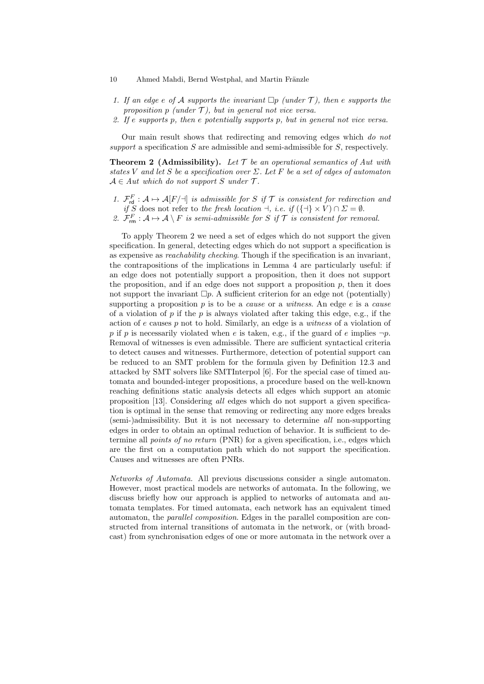#### 10 Ahmed Mahdi, Bernd Westphal, and Martin Fränzle

- 1. If an edge e of A supports the invariant  $\Box p$  (under T), then e supports the proposition  $p$  (under  $\mathcal{T}$ ), but in general not vice versa.
- 2. If e supports p, then e potentially supports p, but in general not vice versa.

Our main result shows that redirecting and removing edges which do not support a specification  $S$  are admissible and semi-admissible for  $S$ , respectively.

**Theorem 2 (Admissibility).** Let  $\mathcal T$  be an operational semantics of Aut with states V and let S be a specification over  $\Sigma$ . Let F be a set of edges of automaton  $A \in Aut$  which do not support S under  $\mathcal{T}$ .

- 1.  $\mathcal{F}_{\text{rd}}^F: \mathcal{A} \mapsto \mathcal{A}[F/\exists]$  is admissible for S if T is consistent for redirection and if S does not refer to the fresh location  $\exists$ , i.e. if  $(\{\exists\} \times V) \cap \Sigma = \emptyset$ .
- 2.  $\mathcal{F}_{\mathsf{rm}}^F: \mathcal{A} \mapsto \mathcal{A} \setminus F$  is semi-admissible for S if T is consistent for removal.

To apply Theorem 2 we need a set of edges which do not support the given specification. In general, detecting edges which do not support a specification is as expensive as reachability checking. Though if the specification is an invariant, the contrapositions of the implications in Lemma 4 are particularly useful: if an edge does not potentially support a proposition, then it does not support the proposition, and if an edge does not support a proposition  $p$ , then it does not support the invariant  $\Box p$ . A sufficient criterion for an edge not (potentially) supporting a proposition  $p$  is to be a *cause* or a *witness*. An edge  $e$  is a *cause* of a violation of p if the p is always violated after taking this edge, e.g., if the action of  $e$  causes  $p$  not to hold. Similarly, an edge is a *witness* of a violation of p if p is necessarily violated when e is taken, e.g., if the guard of e implies  $\neg p$ . Removal of witnesses is even admissible. There are sufficient syntactical criteria to detect causes and witnesses. Furthermore, detection of potential support can be reduced to an SMT problem for the formula given by Definition 12.3 and attacked by SMT solvers like SMTInterpol [6]. For the special case of timed automata and bounded-integer propositions, a procedure based on the well-known reaching definitions static analysis detects all edges which support an atomic proposition [13]. Considering all edges which do not support a given specification is optimal in the sense that removing or redirecting any more edges breaks (semi-)admissibility. But it is not necessary to determine all non-supporting edges in order to obtain an optimal reduction of behavior. It is sufficient to determine all points of no return (PNR) for a given specification, i.e., edges which are the first on a computation path which do not support the specification. Causes and witnesses are often PNRs.

Networks of Automata. All previous discussions consider a single automaton. However, most practical models are networks of automata. In the following, we discuss briefly how our approach is applied to networks of automata and automata templates. For timed automata, each network has an equivalent timed automaton, the parallel composition. Edges in the parallel composition are constructed from internal transitions of automata in the network, or (with broadcast) from synchronisation edges of one or more automata in the network over a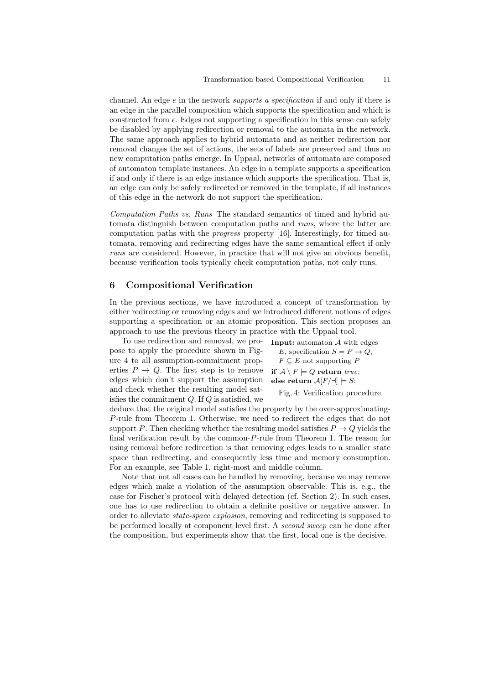channel. An edge  $e$  in the network *supports a specification* if and only if there is an edge in the parallel composition which supports the specification and which is constructed from e. Edges not supporting a specification in this sense can safely be disabled by applying redirection or removal to the automata in the network. The same approach applies to hybrid automata and as neither redirection nor removal changes the set of actions, the sets of labels are preserved and thus no new computation paths emerge. In Uppaal, networks of automata are composed of automaton template instances. An edge in a template supports a specification if and only if there is an edge instance which supports the specification. That is, an edge can only be safely redirected or removed in the template, if all instances of this edge in the network do not support the specification.

Computation Paths vs. Runs The standard semantics of timed and hybrid automata distinguish between computation paths and runs, where the latter are computation paths with the progress property [16]. Interestingly, for timed automata, removing and redirecting edges have the same semantical effect if only runs are considered. However, in practice that will not give an obvious benefit, because verification tools typically check computation paths, not only runs.

#### 6 Compositional Verification

In the previous sections, we have introduced a concept of transformation by either redirecting or removing edges and we introduced different notions of edges supporting a specification or an atomic proposition. This section proposes an approach to use the previous theory in practice with the Uppaal tool.

To use redirection and removal, we propose to apply the procedure shown in Figure 4 to all assumption-commitment properties  $P \to Q$ . The first step is to remove edges which don't support the assumption and check whether the resulting model satisfies the commitment Q. If Q is satisfied, we

Input: automaton A with edges E, specification  $S = P \rightarrow Q$ ,  $F \subseteq E$  not supporting P if  $A \setminus F \models Q$  return true; else return  $A[F/\dashv] \models S;$ Fig. 4: Verification procedure.

deduce that the original model satisfies the property by the over-approximating-P-rule from Theorem 1. Otherwise, we need to redirect the edges that do not support P. Then checking whether the resulting model satisfies  $P \to Q$  yields the final verification result by the common-P-rule from Theorem 1. The reason for using removal before redirection is that removing edges leads to a smaller state space than redirecting, and consequently less time and memory consumption. For an example, see Table 1, right-most and middle column.

Note that not all cases can be handled by removing, because we may remove edges which make a violation of the assumption observable. This is, e.g., the case for Fischer's protocol with delayed detection (cf. Section 2). In such cases, one has to use redirection to obtain a definite positive or negative answer. In order to alleviate *state-space explosion*, removing and redirecting is supposed to be performed locally at component level first. A second sweep can be done after the composition, but experiments show that the first, local one is the decisive.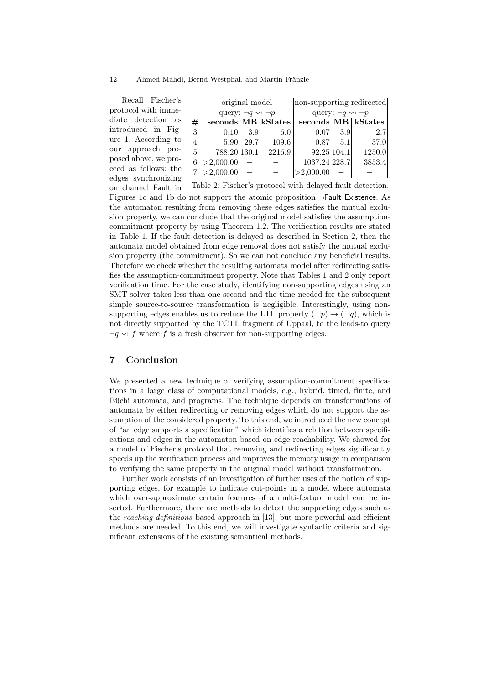Recall Fischer's protocol with immediate detection as introduced in Figure 1. According to our approach proposed above, we proceed as follows: the edges synchronizing on channel Fault in

|         |                                 | original model |        | non-supporting redirected       |     |                      |  |
|---------|---------------------------------|----------------|--------|---------------------------------|-----|----------------------|--|
|         | query: $\neg q \leadsto \neg p$ |                |        | query: $\neg q \leadsto \neg p$ |     |                      |  |
| $^{\#}$ | seconds MB kStates              |                |        |                                 |     | seconds MB   kStates |  |
| 3       | 0.10                            | 3.9            | 6.0    | 0.07                            | 3.9 | 2.7                  |  |
| 4       | 5.90                            | 29.7           | 109.6  | 0.87                            | 5.1 | 37.0                 |  |
| 5       | 788.20 130.1                    |                | 2216.9 | 92.25 104.1                     |     | 1250.0               |  |
| 6       | >2,000.00                       |                |        | 1037.24 228.7                   |     | 3853.4               |  |
|         | >2,000.00                       |                |        | >2,000.00                       |     |                      |  |

Table 2: Fischer's protocol with delayed fault detection.

Figures 1c and 1b do not support the atomic proposition ¬Fault Existence. As the automaton resulting from removing these edges satisfies the mutual exclusion property, we can conclude that the original model satisfies the assumptioncommitment property by using Theorem 1.2. The verification results are stated in Table 1. If the fault detection is delayed as described in Section 2, then the automata model obtained from edge removal does not satisfy the mutual exclusion property (the commitment). So we can not conclude any beneficial results. Therefore we check whether the resulting automata model after redirecting satisfies the assumption-commitment property. Note that Tables 1 and 2 only report verification time. For the case study, identifying non-supporting edges using an SMT-solver takes less than one second and the time needed for the subsequent simple source-to-source transformation is negligible. Interestingly, using nonsupporting edges enables us to reduce the LTL property  $(\Box p) \rightarrow (\Box q)$ , which is not directly supported by the TCTL fragment of Uppaal, to the leads-to query  $\neg q \leftrightarrow f$  where f is a fresh observer for non-supporting edges.

## 7 Conclusion

We presented a new technique of verifying assumption-commitment specifications in a large class of computational models, e.g., hybrid, timed, finite, and Büchi automata, and programs. The technique depends on transformations of automata by either redirecting or removing edges which do not support the assumption of the considered property. To this end, we introduced the new concept of "an edge supports a specification" which identifies a relation between specifications and edges in the automaton based on edge reachability. We showed for a model of Fischer's protocol that removing and redirecting edges significantly speeds up the verification process and improves the memory usage in comparison to verifying the same property in the original model without transformation.

Further work consists of an investigation of further uses of the notion of supporting edges, for example to indicate cut-points in a model where automata which over-approximate certain features of a multi-feature model can be inserted. Furthermore, there are methods to detect the supporting edges such as the reaching definitions-based approach in [13], but more powerful and efficient methods are needed. To this end, we will investigate syntactic criteria and significant extensions of the existing semantical methods.